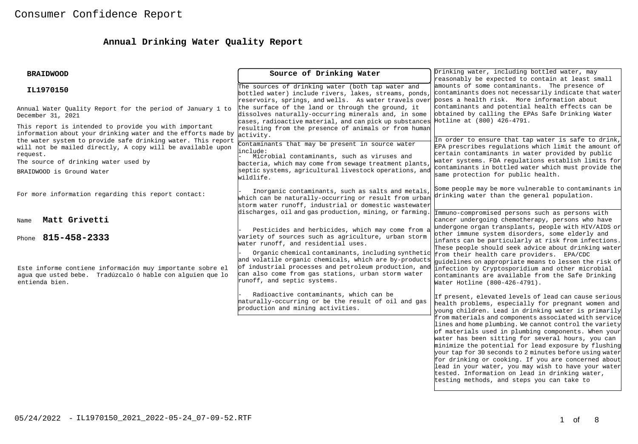# **Annual Drinking Water Quality Report**

| <b>BRAIDWOOD</b>                                                                                                                                                                                                                                                                                                                      | Source of Drinking Water                                                                                                                                                                                                                                                                                           | Drinking water, including bottled water, may<br>reasonably be expected to contain at least small                                                                                                                                                                                                                                                                                                                                                                                                    |
|---------------------------------------------------------------------------------------------------------------------------------------------------------------------------------------------------------------------------------------------------------------------------------------------------------------------------------------|--------------------------------------------------------------------------------------------------------------------------------------------------------------------------------------------------------------------------------------------------------------------------------------------------------------------|-----------------------------------------------------------------------------------------------------------------------------------------------------------------------------------------------------------------------------------------------------------------------------------------------------------------------------------------------------------------------------------------------------------------------------------------------------------------------------------------------------|
| IL1970150                                                                                                                                                                                                                                                                                                                             | The sources of drinking water (both tap water and<br>bottled water) include rivers, lakes, streams, ponds,<br>reservoirs, springs, and wells. As water travels over poses a health risk. More information about                                                                                                    | amounts of some contaminants. The presence of<br>contaminants does not necessarily indicate that water                                                                                                                                                                                                                                                                                                                                                                                              |
| Annual Water Quality Report for the period of January 1 to<br>December 31, 2021                                                                                                                                                                                                                                                       | the surface of the land or through the ground, it<br>dissolves naturally-occurring minerals and, in some<br>cases, radioactive material, and can pick up substances                                                                                                                                                | contaminants and potential health effects can be<br>obtained by calling the EPAs Safe Drinking Water<br>Hotline at (800) 426-4791.                                                                                                                                                                                                                                                                                                                                                                  |
| This report is intended to provide you with important<br>information about your drinking water and the efforts made by<br>the water system to provide safe drinking water. This report<br>will not be mailed directly, A copy will be available upon<br>request.<br>The source of drinking water used by<br>BRAIDWOOD is Ground Water | resulting from the presence of animals or from human<br>activity.<br>Contaminants that may be present in source water<br>linclude:<br>Microbial contaminants, such as viruses and<br>bacteria, which may come from sewage treatment plants,<br>septic systems, agricultural livestock operations, and<br>wildlife. | In order to ensure that tap water is safe to drink,<br>EPA prescribes regulations which limit the amount of<br>certain contaminants in water provided by public<br>water systems. FDA regulations establish limits for<br>contaminants in bottled water which must provide the<br>same protection for public health.                                                                                                                                                                                |
| For more information regarding this report contact:                                                                                                                                                                                                                                                                                   | Inorganic contaminants, such as salts and metals,<br>which can be naturally-occurring or result from urban<br>storm water runoff, industrial or domestic wastewater<br>discharges, oil and gas production, mining, or farming.                                                                                     | Some people may be more vulnerable to contaminants in<br>drinking water than the general population.<br>Immuno-compromised persons such as persons with                                                                                                                                                                                                                                                                                                                                             |
| Matt Grivetti<br>Name                                                                                                                                                                                                                                                                                                                 |                                                                                                                                                                                                                                                                                                                    | cancer undergoing chemotherapy, persons who have<br>undergone organ transplants, people with HIV/AIDS or                                                                                                                                                                                                                                                                                                                                                                                            |
| 815-458-2333<br>Phone                                                                                                                                                                                                                                                                                                                 | Pesticides and herbicides, which may come from a<br>wariety of sources such as agriculture, urban storm<br>water runoff, and residential uses.<br>Organic chemical contaminants, including synthetic<br>and volatile organic chemicals, which are by-products                                                      | other immune system disorders, some elderly and<br>infants can be particularly at risk from infections.<br>These people should seek advice about drinking water<br>from their health care providers. EPA/CDC<br>quidelines on appropriate means to lessen the risk of                                                                                                                                                                                                                               |
| Este informe contiene información muy importante sobre el<br>aqua que usted bebe. Tradúzcalo ó hable con alquien que lo<br>entienda bien.                                                                                                                                                                                             | of industrial processes and petroleum production, and<br>can also come from gas stations, urban storm water<br>runoff, and septic systems.                                                                                                                                                                         | infection by Cryptosporidium and other microbial<br>contaminants are available from the Safe Drinking<br>Water Hotline (800-426-4791).                                                                                                                                                                                                                                                                                                                                                              |
|                                                                                                                                                                                                                                                                                                                                       | Radioactive contaminants, which can be<br>haturally-occurring or be the result of oil and gas<br>production and mining activities.                                                                                                                                                                                 | If present, elevated levels of lead can cause serious<br>health problems, especially for pregnant women and<br>young children. Lead in drinking water is primarily<br>from materials and components associated with service                                                                                                                                                                                                                                                                         |
|                                                                                                                                                                                                                                                                                                                                       |                                                                                                                                                                                                                                                                                                                    | lines and home plumbing. We cannot control the variety<br>of materials used in plumbing components. When your<br>water has been sitting for several hours, you can<br>minimize the potential for lead exposure by flushing<br>your tap for 30 seconds to 2 minutes before using water<br>for drinking or cooking. If you are concerned about<br>lead in your water, you may wish to have your water<br>tested. Information on lead in drinking water,<br>testing methods, and steps you can take to |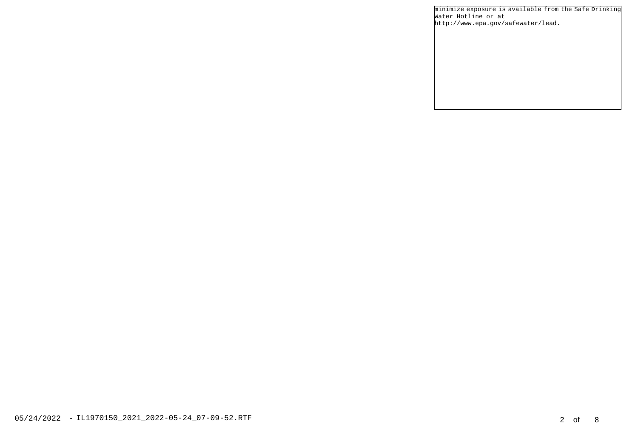minimize exposure is available from the Safe Drinking Water Hotline or at http://www.epa.gov/safewater/lead.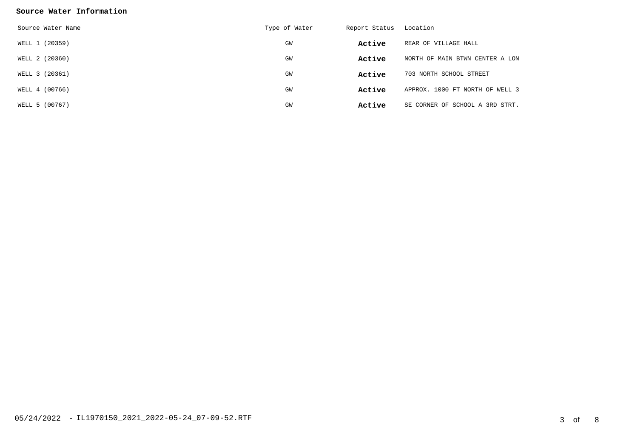### **Source Water Information**

| Source Water Name | Type of Water | Report Status | Location                        |
|-------------------|---------------|---------------|---------------------------------|
| WELL 1 (20359)    | GM            | Active        | REAR OF VILLAGE HALL            |
| WELL 2 (20360)    | GM            | Active        | NORTH OF MAIN BTWN CENTER A LON |
| WELL 3 (20361)    | GM            | Active        | 703 NORTH SCHOOL STREET         |
| WELL 4 (00766)    | GM            | Active        | APPROX. 1000 FT NORTH OF WELL 3 |
| WELL 5 (00767)    | GW            | Active        | SE CORNER OF SCHOOL A 3RD STRT. |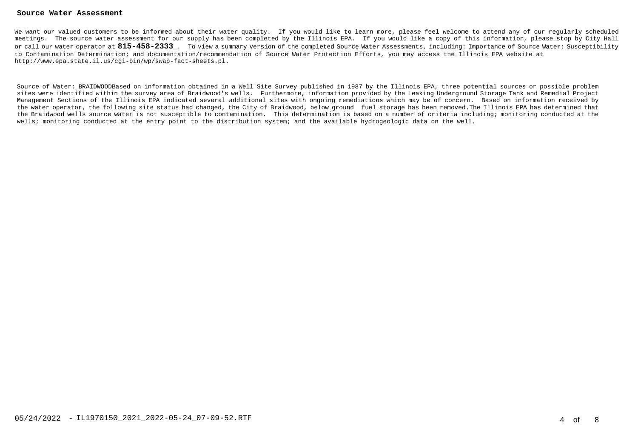#### **Source Water Assessment**

We want our valued customers to be informed about their water quality. If you would like to learn more, please feel welcome to attend any of our regularly scheduled meetings. The source water assessment for our supply has been completed by the Illinois EPA. If you would like a copy of this information, please stop by City Hall or call our water operator at **815-458-2333**\_. To view a summary version of the completed Source Water Assessments, including: Importance of Source Water; Susceptibility to Contamination Determination; and documentation/recommendation of Source Water Protection Efforts, you may access the Illinois EPA website at http://www.epa.state.il.us/cgi-bin/wp/swap-fact-sheets.pl.

Source of Water: BRAIDWOODBased on information obtained in a Well Site Survey published in 1987 by the Illinois EPA, three potential sources or possible problem sites were identified within the survey area of Braidwood's wells. Furthermore, information provided by the Leaking Underground Storage Tank and Remedial Project Management Sections of the Illinois EPA indicated several additional sites with ongoing remediations which may be of concern. Based on information received by the water operator, the following site status had changed, the City of Braidwood, below ground fuel storage has been removed.The Illinois EPA has determined that the Braidwood wells source water is not susceptible to contamination. This determination is based on a number of criteria including; monitoring conducted at the wells; monitoring conducted at the entry point to the distribution system; and the available hydrogeologic data on the well.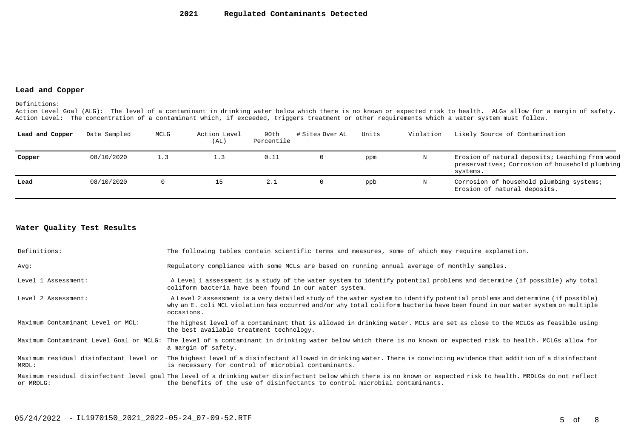#### **Lead and Copper**

Definitions:

Action Level Goal (ALG): The level of a contaminant in drinking water below which there is no known or expected risk to health. ALGs allow for a margin of safety. Action Level: The concentration of a contaminant which, if exceeded, triggers treatment or other requirements which a water system must follow.

| Lead and Copper | Date Sampled | MCLG | Action Level<br>(AL) | 90th<br>Percentile | # Sites Over AL | Units | Violation | Likely Source of Contamination                                                                                |
|-----------------|--------------|------|----------------------|--------------------|-----------------|-------|-----------|---------------------------------------------------------------------------------------------------------------|
| Copper          | 08/10/2020   | 1.3  | 1.3                  | 0.11               |                 | ppm   | N         | Erosion of natural deposits; Leaching from wood<br>preservatives; Corrosion of household plumbing<br>systems. |
| Lead            | 08/10/2020   |      | 15                   | 2.1                |                 | ppb   | N         | Corrosion of household plumbing systems;<br>Erosion of natural deposits.                                      |

### **Water Quality Test Results**

| Definitions:                                    | The following tables contain scientific terms and measures, some of which may require explanation.                                                                                                                                                                         |
|-------------------------------------------------|----------------------------------------------------------------------------------------------------------------------------------------------------------------------------------------------------------------------------------------------------------------------------|
| Avq:                                            | Regulatory compliance with some MCLs are based on running annual average of monthly samples.                                                                                                                                                                               |
| Level 1 Assessment:                             | A Level 1 assessment is a study of the water system to identify potential problems and determine (if possible) why total<br>coliform bacteria have been found in our water system.                                                                                         |
| Level 2 Assessment:                             | A Level 2 assessment is a very detailed study of the water system to identify potential problems and determine (if possible)<br>why an E. coli MCL violation has occurred and/or why total coliform bacteria have been found in our water system on multiple<br>occasions. |
| Maximum Contaminant Level or MCL:               | The highest level of a contaminant that is allowed in drinking water. MCLs are set as close to the MCLGs as feasible using<br>the best available treatment technology.                                                                                                     |
|                                                 | Maximum Contaminant Level Goal or MCLG: The level of a contaminant in drinking water below which there is no known or expected risk to health. MCLGs allow for<br>a margin of safety.                                                                                      |
| Maximum residual disinfectant level or<br>MRDL: | The highest level of a disinfectant allowed in drinking water. There is convincing evidence that addition of a disinfectant<br>is necessary for control of microbial contaminants.                                                                                         |
| or MRDLG:                                       | Maximum residual disinfectant level goal The level of a drinking water disinfectant below which there is no known or expected risk to health. MRDLGs do not reflect<br>the benefits of the use of disinfectants to control microbial contaminants.                         |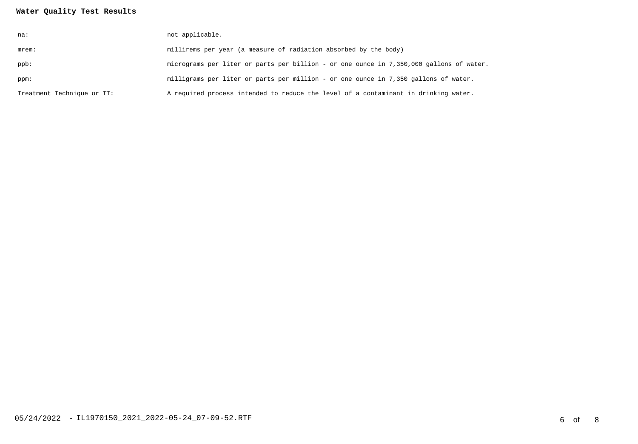## **Water Quality Test Results**

| na:                        | not applicable.                                                                         |
|----------------------------|-----------------------------------------------------------------------------------------|
| mrem:                      | millirems per year (a measure of radiation absorbed by the body)                        |
| ppb:                       | micrograms per liter or parts per billion - or one ounce in 7,350,000 gallons of water. |
| ppm:                       | milligrams per liter or parts per million - or one ounce in 7,350 gallons of water.     |
| Treatment Technique or TT: | A required process intended to reduce the level of a contaminant in drinking water.     |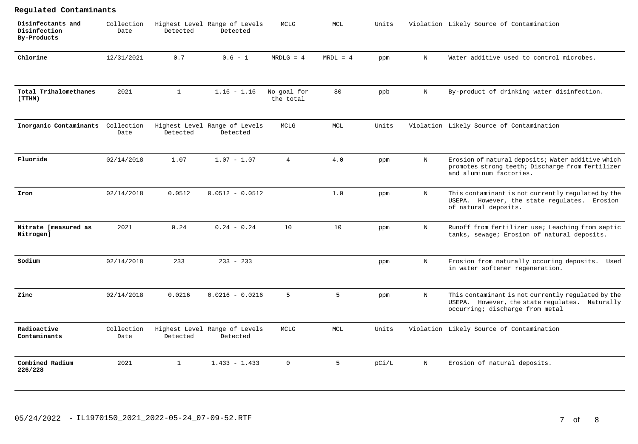| Disinfectants and<br>Disinfection<br>By-Products | Collection<br>Date | Detected     | Highest Level Range of Levels<br>Detected | MCLG                     | MCL                         | Units |              | Violation Likely Source of Contamination                                                                                                |
|--------------------------------------------------|--------------------|--------------|-------------------------------------------|--------------------------|-----------------------------|-------|--------------|-----------------------------------------------------------------------------------------------------------------------------------------|
| Chlorine                                         | 12/31/2021         | 0.7          | $0.6 - 1$                                 | $MRDLG = 4$              | $MRDL = 4$                  | ppm   | $\mathbf N$  | Water additive used to control microbes.                                                                                                |
| Total Trihalomethanes<br>(TTHM)                  | 2021               | $\mathbf{1}$ | $1.16 - 1.16$                             | No goal for<br>the total | 80                          | ppb   | N            | By-product of drinking water disinfection.                                                                                              |
| Inorganic Contaminants                           | Collection<br>Date | Detected     | Highest Level Range of Levels<br>Detected | <b>MCLG</b>              | $\mathop{\rm MCL}\nolimits$ | Units |              | Violation Likely Source of Contamination                                                                                                |
| Fluoride                                         | 02/14/2018         | 1.07         | $1.07 - 1.07$                             | $\overline{4}$           | 4.0                         | ppm   | N            | Erosion of natural deposits; Water additive which<br>promotes strong teeth; Discharge from fertilizer<br>and aluminum factories.        |
| Iron                                             | 02/14/2018         | 0.0512       | $0.0512 - 0.0512$                         |                          | 1.0                         | ppm   | $\, {\rm N}$ | This contaminant is not currently regulated by the<br>USEPA. However, the state regulates. Erosion<br>of natural deposits.              |
| Nitrate [measured as<br>Nitrogen]                | 2021               | 0.24         | $0.24 - 0.24$                             | 10                       | 10                          | ppm   | N            | Runoff from fertilizer use; Leaching from septic<br>tanks, sewage; Erosion of natural deposits.                                         |
| Sodium                                           | 02/14/2018         | 233          | $233 - 233$                               |                          |                             | ppm   | N            | Erosion from naturally occuring deposits. Used<br>in water softener regeneration.                                                       |
| Zinc                                             | 02/14/2018         | 0.0216       | $0.0216 - 0.0216$                         | 5                        | 5                           | ppm   | $\, {\rm N}$ | This contaminant is not currently regulated by the<br>USEPA. However, the state regulates. Naturally<br>occurring; discharge from metal |
| Radioactive<br>Contaminants                      | Collection<br>Date | Detected     | Highest Level Range of Levels<br>Detected | MCLG                     | MCL                         | Units |              | Violation Likely Source of Contamination                                                                                                |
| Combined Radium<br>226/228                       | 2021               | $\mathbf{1}$ | $1.433 - 1.433$                           | $\mathbf 0$              | 5                           | pCi/L | $\mathbf N$  | Erosion of natural deposits.                                                                                                            |

## 05/24/2022 - IL1970150\_2021\_2022-05-24\_07-09-52.RTF 7 of 8

**Regulated Contaminants**